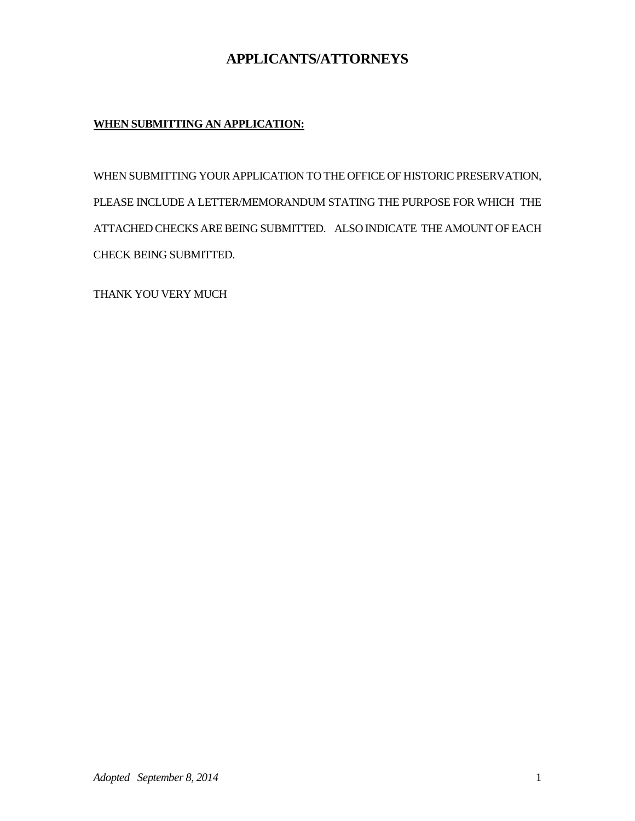## **APPLICANTS/ATTORNEYS**

## **WHEN SUBMITTING AN APPLICATION:**

WHEN SUBMITTING YOUR APPLICATION TO THE OFFICE OF HISTORIC PRESERVATION, PLEASE INCLUDE A LETTER/MEMORANDUM STATING THE PURPOSE FOR WHICH THE ATTACHED CHECKS ARE BEING SUBMITTED. ALSO INDICATE THE AMOUNT OF EACH CHECK BEING SUBMITTED.

THANK YOU VERY MUCH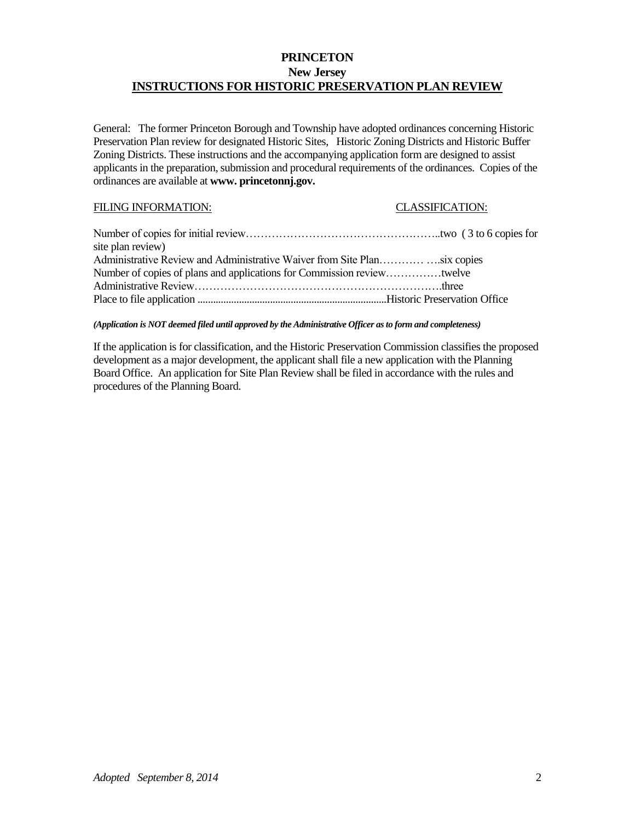## **PRINCETON New Jersey INSTRUCTIONS FOR HISTORIC PRESERVATION PLAN REVIEW**

General: The former Princeton Borough and Township have adopted ordinances concerning Historic Preservation Plan review for designated Historic Sites, Historic Zoning Districts and Historic Buffer Zoning Districts. These instructions and the accompanying application form are designed to assist applicants in the preparation, submission and procedural requirements of the ordinances. Copies of the ordinances are available at **www. princetonnj.gov.**

### FILING INFORMATION: CLASSIFICATION:

| site plan review) |  |
|-------------------|--|
|                   |  |
|                   |  |
|                   |  |
|                   |  |

*(Application is NOT deemed filed until approved by the Administrative Officer as to form and completeness)*

If the application is for classification, and the Historic Preservation Commission classifies the proposed development as a major development, the applicant shall file a new application with the Planning Board Office. An application for Site Plan Review shall be filed in accordance with the rules and procedures of the Planning Board.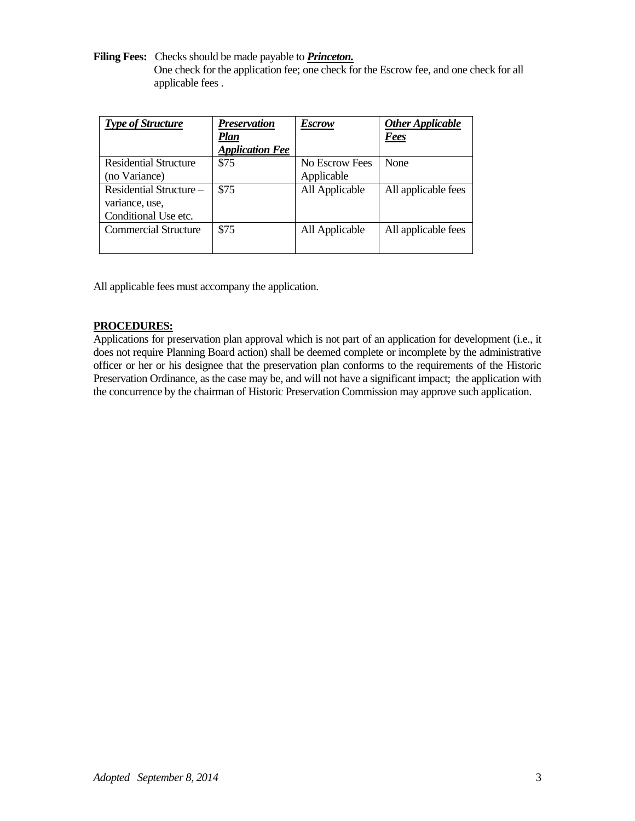**Filing Fees:** Checks should be made payable to *Princeton.*

One check for the application fee; one check for the Escrow fee, and one check for all applicable fees .

| <b>Type of Structure</b>    | <i>Preservation</i>    | <b>Escrow</b>  | <b>Other Applicable</b> |
|-----------------------------|------------------------|----------------|-------------------------|
|                             | <b>Plan</b>            |                | <b>Fees</b>             |
|                             | <b>Application Fee</b> |                |                         |
| Residential Structure       | \$75                   | No Escrow Fees | None                    |
| (no Variance)               |                        | Applicable     |                         |
| Residential Structure –     | \$75                   | All Applicable | All applicable fees     |
| variance, use,              |                        |                |                         |
| Conditional Use etc.        |                        |                |                         |
| <b>Commercial Structure</b> | \$75                   | All Applicable | All applicable fees     |
|                             |                        |                |                         |

All applicable fees must accompany the application.

## **PROCEDURES:**

Applications for preservation plan approval which is not part of an application for development (i.e., it does not require Planning Board action) shall be deemed complete or incomplete by the administrative officer or her or his designee that the preservation plan conforms to the requirements of the Historic Preservation Ordinance, as the case may be, and will not have a significant impact; the application with the concurrence by the chairman of Historic Preservation Commission may approve such application.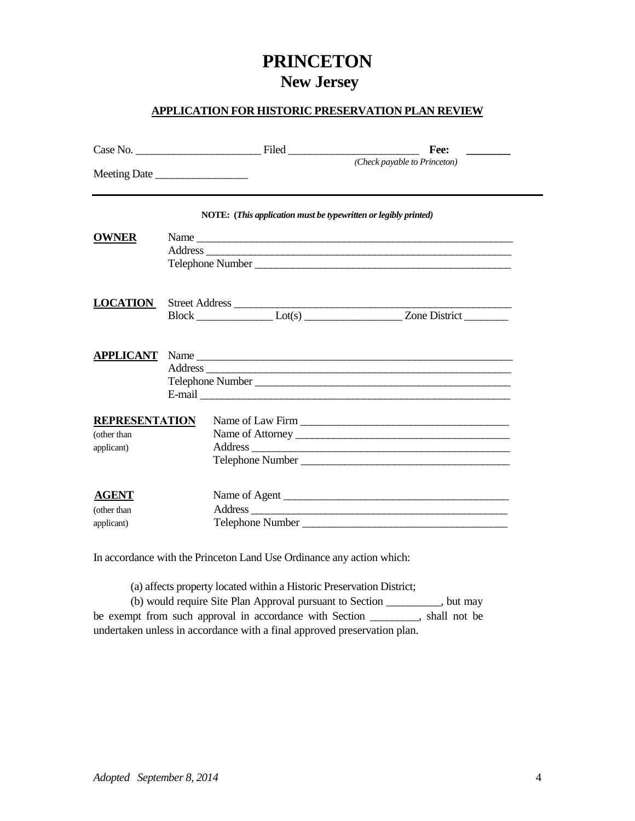# **PRINCETON New Jersey**

## **APPLICATION FOR HISTORIC PRESERVATION PLAN REVIEW**

|                                                    | $Case No.$ Filed Filed                                          | Fee:                                         |
|----------------------------------------------------|-----------------------------------------------------------------|----------------------------------------------|
|                                                    | Meeting Date                                                    | (Check payable to Princeton)                 |
|                                                    | NOTE: (This application must be typewritten or legibly printed) |                                              |
| <b>OWNER</b>                                       |                                                                 | Telephone Number                             |
| <b>LOCATION</b>                                    | Street Address                                                  |                                              |
|                                                    |                                                                 | Telephone Number                             |
| <b>REPRESENTATION</b><br>(other than<br>applicant) |                                                                 | Name of Attorney                             |
| <b>AGENT</b><br>(other than<br>applicant)          |                                                                 | Name of Agent<br>Address<br>Telephone Number |

In accordance with the Princeton Land Use Ordinance any action which:

(a) affects property located within a Historic Preservation District;

(b) would require Site Plan Approval pursuant to Section \_\_\_\_\_\_\_\_\_\_, but may be exempt from such approval in accordance with Section \_\_\_\_\_\_\_\_\_, shall not be undertaken unless in accordance with a final approved preservation plan.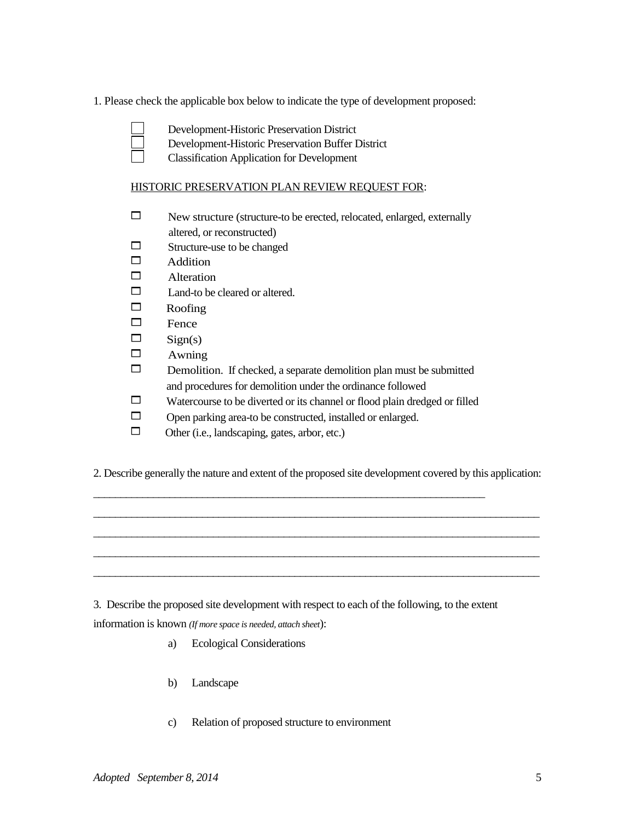1. Please check the applicable box below to indicate the type of development proposed:

- Development-Historic Preservation District
- Development-Historic Preservation Buffer District
- Classification Application for Development

## HISTORIC PRESERVATION PLAN REVIEW REQUEST FOR:

- New structure (structure-to be erected, relocated, enlarged, externally altered, or reconstructed)
- $\Box$  Structure-use to be changed
- $\Box$  Addition
- $\Box$  Alteration
- $\Box$  Land-to be cleared or altered.
- $\Box$  Roofing
- $\Box$  Fence
- $\Box$  Sign(s)
- $\Box$  Awning
- $\square$  Demolition. If checked, a separate demolition plan must be submitted and procedures for demolition under the ordinance followed
- $\Box$  Watercourse to be diverted or its channel or flood plain dredged or filled
- $\Box$  Open parking area-to be constructed, installed or enlarged.

\_\_\_\_\_\_\_\_\_\_\_\_\_\_\_\_\_\_\_\_\_\_\_\_\_\_\_\_\_\_\_\_\_\_\_\_\_\_\_\_\_\_\_\_\_\_\_\_\_\_\_\_\_\_\_\_\_\_\_\_\_\_\_\_\_\_\_\_\_\_\_\_

- $\Box$  Other (i.e., landscaping, gates, arbor, etc.)
- 2. Describe generally the nature and extent of the proposed site development covered by this application:

\_\_\_\_\_\_\_\_\_\_\_\_\_\_\_\_\_\_\_\_\_\_\_\_\_\_\_\_\_\_\_\_\_\_\_\_\_\_\_\_\_\_\_\_\_\_\_\_\_\_\_\_\_\_\_\_\_\_\_\_\_\_\_\_\_\_\_\_\_\_\_\_\_\_\_\_\_\_\_\_\_\_ \_\_\_\_\_\_\_\_\_\_\_\_\_\_\_\_\_\_\_\_\_\_\_\_\_\_\_\_\_\_\_\_\_\_\_\_\_\_\_\_\_\_\_\_\_\_\_\_\_\_\_\_\_\_\_\_\_\_\_\_\_\_\_\_\_\_\_\_\_\_\_\_\_\_\_\_\_\_\_\_\_\_ \_\_\_\_\_\_\_\_\_\_\_\_\_\_\_\_\_\_\_\_\_\_\_\_\_\_\_\_\_\_\_\_\_\_\_\_\_\_\_\_\_\_\_\_\_\_\_\_\_\_\_\_\_\_\_\_\_\_\_\_\_\_\_\_\_\_\_\_\_\_\_\_\_\_\_\_\_\_\_\_\_\_ \_\_\_\_\_\_\_\_\_\_\_\_\_\_\_\_\_\_\_\_\_\_\_\_\_\_\_\_\_\_\_\_\_\_\_\_\_\_\_\_\_\_\_\_\_\_\_\_\_\_\_\_\_\_\_\_\_\_\_\_\_\_\_\_\_\_\_\_\_\_\_\_\_\_\_\_\_\_\_\_\_\_

3. Describe the proposed site development with respect to each of the following, to the extent information is known *(If more space is needed, attach sheet*):

- a) Ecological Considerations
- b) Landscape
- c) Relation of proposed structure to environment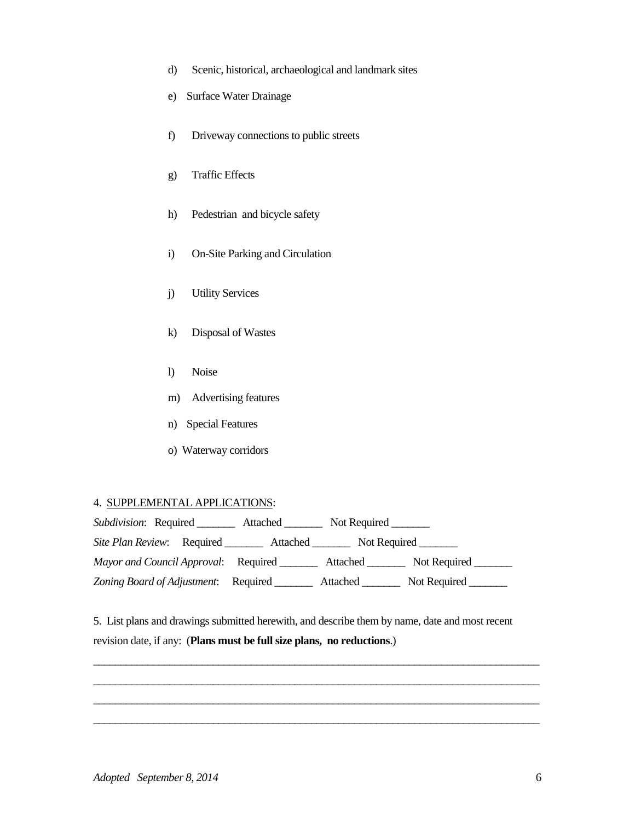- d) Scenic, historical, archaeological and landmark sites
- e) Surface Water Drainage
- f) Driveway connections to public streets
- g) Traffic Effects
- h) Pedestrian and bicycle safety
- i) On-Site Parking and Circulation
- j) Utility Services
- k) Disposal of Wastes
- l) Noise
- m) Advertising features
- n) Special Features
- o) Waterway corridors

## 4. SUPPLEMENTAL APPLICATIONS:

| Subdivision: Required                | Attached | Not Required |              |
|--------------------------------------|----------|--------------|--------------|
| <i>Site Plan Review:</i> Required    | Attached | Not Required |              |
| Mayor and Council Approval: Required |          | Attached     | Not Required |
| Zoning Board of Adjustment:          | Required | Attached     | Not Required |

5. List plans and drawings submitted herewith, and describe them by name, date and most recent revision date, if any: (**Plans must be full size plans, no reductions**.)

\_\_\_\_\_\_\_\_\_\_\_\_\_\_\_\_\_\_\_\_\_\_\_\_\_\_\_\_\_\_\_\_\_\_\_\_\_\_\_\_\_\_\_\_\_\_\_\_\_\_\_\_\_\_\_\_\_\_\_\_\_\_\_\_\_\_\_\_\_\_\_\_\_\_\_\_\_\_\_\_\_\_ \_\_\_\_\_\_\_\_\_\_\_\_\_\_\_\_\_\_\_\_\_\_\_\_\_\_\_\_\_\_\_\_\_\_\_\_\_\_\_\_\_\_\_\_\_\_\_\_\_\_\_\_\_\_\_\_\_\_\_\_\_\_\_\_\_\_\_\_\_\_\_\_\_\_\_\_\_\_\_\_\_\_ \_\_\_\_\_\_\_\_\_\_\_\_\_\_\_\_\_\_\_\_\_\_\_\_\_\_\_\_\_\_\_\_\_\_\_\_\_\_\_\_\_\_\_\_\_\_\_\_\_\_\_\_\_\_\_\_\_\_\_\_\_\_\_\_\_\_\_\_\_\_\_\_\_\_\_\_\_\_\_\_\_\_ \_\_\_\_\_\_\_\_\_\_\_\_\_\_\_\_\_\_\_\_\_\_\_\_\_\_\_\_\_\_\_\_\_\_\_\_\_\_\_\_\_\_\_\_\_\_\_\_\_\_\_\_\_\_\_\_\_\_\_\_\_\_\_\_\_\_\_\_\_\_\_\_\_\_\_\_\_\_\_\_\_\_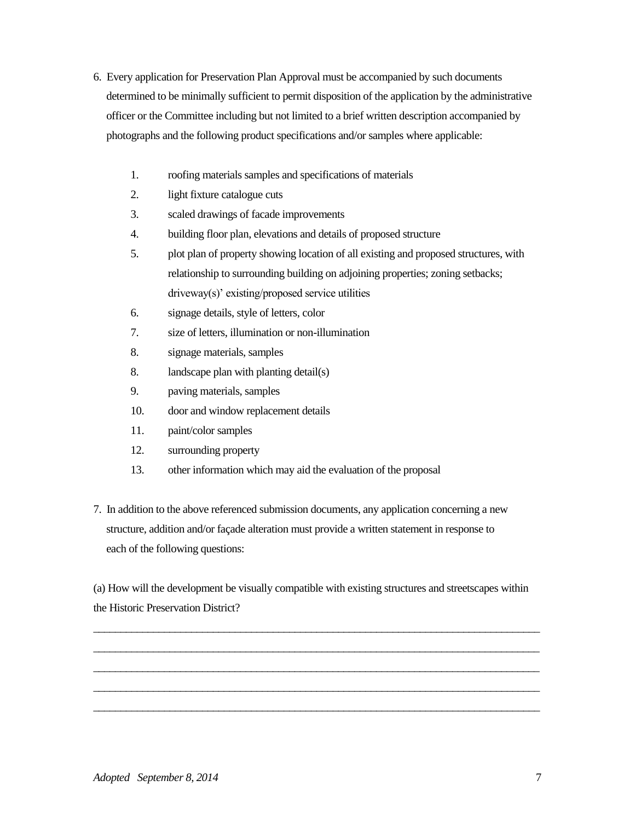- 6. Every application for Preservation Plan Approval must be accompanied by such documents determined to be minimally sufficient to permit disposition of the application by the administrative officer or the Committee including but not limited to a brief written description accompanied by photographs and the following product specifications and/or samples where applicable:
	- 1. roofing materials samples and specifications of materials
	- 2. light fixture catalogue cuts
	- 3. scaled drawings of facade improvements
	- 4. building floor plan, elevations and details of proposed structure
	- 5. plot plan of property showing location of all existing and proposed structures, with relationship to surrounding building on adjoining properties; zoning setbacks; driveway(s)' existing/proposed service utilities
	- 6. signage details, style of letters, color
	- 7. size of letters, illumination or non-illumination
	- 8. signage materials, samples
	- 8. landscape plan with planting detail(s)
	- 9. paving materials, samples
	- 10. door and window replacement details
	- 11. paint/color samples
	- 12. surrounding property
	- 13. other information which may aid the evaluation of the proposal
- 7. In addition to the above referenced submission documents, any application concerning a new structure, addition and/or façade alteration must provide a written statement in response to each of the following questions:

(a) How will the development be visually compatible with existing structures and streetscapes within the Historic Preservation District?

\_\_\_\_\_\_\_\_\_\_\_\_\_\_\_\_\_\_\_\_\_\_\_\_\_\_\_\_\_\_\_\_\_\_\_\_\_\_\_\_\_\_\_\_\_\_\_\_\_\_\_\_\_\_\_\_\_\_\_\_\_\_\_\_\_\_\_\_\_\_\_\_\_\_\_\_\_\_\_\_\_\_ \_\_\_\_\_\_\_\_\_\_\_\_\_\_\_\_\_\_\_\_\_\_\_\_\_\_\_\_\_\_\_\_\_\_\_\_\_\_\_\_\_\_\_\_\_\_\_\_\_\_\_\_\_\_\_\_\_\_\_\_\_\_\_\_\_\_\_\_\_\_\_\_\_\_\_\_\_\_\_\_\_\_ \_\_\_\_\_\_\_\_\_\_\_\_\_\_\_\_\_\_\_\_\_\_\_\_\_\_\_\_\_\_\_\_\_\_\_\_\_\_\_\_\_\_\_\_\_\_\_\_\_\_\_\_\_\_\_\_\_\_\_\_\_\_\_\_\_\_\_\_\_\_\_\_\_\_\_\_\_\_\_\_\_\_ \_\_\_\_\_\_\_\_\_\_\_\_\_\_\_\_\_\_\_\_\_\_\_\_\_\_\_\_\_\_\_\_\_\_\_\_\_\_\_\_\_\_\_\_\_\_\_\_\_\_\_\_\_\_\_\_\_\_\_\_\_\_\_\_\_\_\_\_\_\_\_\_\_\_\_\_\_\_\_\_\_\_ \_\_\_\_\_\_\_\_\_\_\_\_\_\_\_\_\_\_\_\_\_\_\_\_\_\_\_\_\_\_\_\_\_\_\_\_\_\_\_\_\_\_\_\_\_\_\_\_\_\_\_\_\_\_\_\_\_\_\_\_\_\_\_\_\_\_\_\_\_\_\_\_\_\_\_\_\_\_\_\_\_\_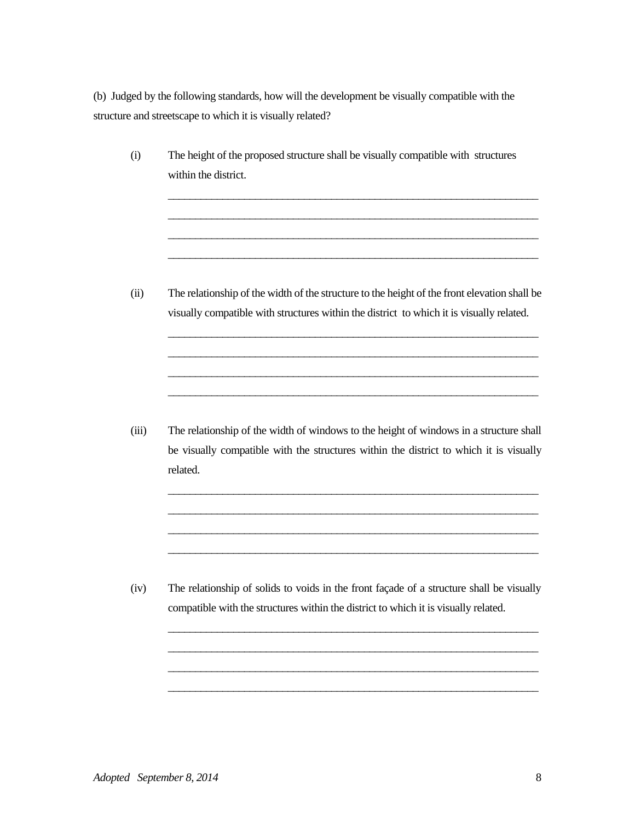(b) Judged by the following standards, how will the development be visually compatible with the structure and streetscape to which it is visually related?

(i) The height of the proposed structure shall be visually compatible with structures within the district.

> \_\_\_\_\_\_\_\_\_\_\_\_\_\_\_\_\_\_\_\_\_\_\_\_\_\_\_\_\_\_\_\_\_\_\_\_\_\_\_\_\_\_\_\_\_\_\_\_\_\_\_\_\_\_\_\_\_\_\_\_\_\_\_\_\_\_\_\_ \_\_\_\_\_\_\_\_\_\_\_\_\_\_\_\_\_\_\_\_\_\_\_\_\_\_\_\_\_\_\_\_\_\_\_\_\_\_\_\_\_\_\_\_\_\_\_\_\_\_\_\_\_\_\_\_\_\_\_\_\_\_\_\_\_\_\_\_ \_\_\_\_\_\_\_\_\_\_\_\_\_\_\_\_\_\_\_\_\_\_\_\_\_\_\_\_\_\_\_\_\_\_\_\_\_\_\_\_\_\_\_\_\_\_\_\_\_\_\_\_\_\_\_\_\_\_\_\_\_\_\_\_\_\_\_\_ \_\_\_\_\_\_\_\_\_\_\_\_\_\_\_\_\_\_\_\_\_\_\_\_\_\_\_\_\_\_\_\_\_\_\_\_\_\_\_\_\_\_\_\_\_\_\_\_\_\_\_\_\_\_\_\_\_\_\_\_\_\_\_\_\_\_\_\_

(ii) The relationship of the width of the structure to the height of the front elevation shall be visually compatible with structures within the district to which it is visually related.

\_\_\_\_\_\_\_\_\_\_\_\_\_\_\_\_\_\_\_\_\_\_\_\_\_\_\_\_\_\_\_\_\_\_\_\_\_\_\_\_\_\_\_\_\_\_\_\_\_\_\_\_\_\_\_\_\_\_\_\_\_\_\_\_\_\_\_\_ \_\_\_\_\_\_\_\_\_\_\_\_\_\_\_\_\_\_\_\_\_\_\_\_\_\_\_\_\_\_\_\_\_\_\_\_\_\_\_\_\_\_\_\_\_\_\_\_\_\_\_\_\_\_\_\_\_\_\_\_\_\_\_\_\_\_\_\_ \_\_\_\_\_\_\_\_\_\_\_\_\_\_\_\_\_\_\_\_\_\_\_\_\_\_\_\_\_\_\_\_\_\_\_\_\_\_\_\_\_\_\_\_\_\_\_\_\_\_\_\_\_\_\_\_\_\_\_\_\_\_\_\_\_\_\_\_ \_\_\_\_\_\_\_\_\_\_\_\_\_\_\_\_\_\_\_\_\_\_\_\_\_\_\_\_\_\_\_\_\_\_\_\_\_\_\_\_\_\_\_\_\_\_\_\_\_\_\_\_\_\_\_\_\_\_\_\_\_\_\_\_\_\_\_\_

(iii) The relationship of the width of windows to the height of windows in a structure shall be visually compatible with the structures within the district to which it is visually related.

\_\_\_\_\_\_\_\_\_\_\_\_\_\_\_\_\_\_\_\_\_\_\_\_\_\_\_\_\_\_\_\_\_\_\_\_\_\_\_\_\_\_\_\_\_\_\_\_\_\_\_\_\_\_\_\_\_\_\_\_\_\_\_\_\_\_\_\_ \_\_\_\_\_\_\_\_\_\_\_\_\_\_\_\_\_\_\_\_\_\_\_\_\_\_\_\_\_\_\_\_\_\_\_\_\_\_\_\_\_\_\_\_\_\_\_\_\_\_\_\_\_\_\_\_\_\_\_\_\_\_\_\_\_\_\_\_ \_\_\_\_\_\_\_\_\_\_\_\_\_\_\_\_\_\_\_\_\_\_\_\_\_\_\_\_\_\_\_\_\_\_\_\_\_\_\_\_\_\_\_\_\_\_\_\_\_\_\_\_\_\_\_\_\_\_\_\_\_\_\_\_\_\_\_\_ \_\_\_\_\_\_\_\_\_\_\_\_\_\_\_\_\_\_\_\_\_\_\_\_\_\_\_\_\_\_\_\_\_\_\_\_\_\_\_\_\_\_\_\_\_\_\_\_\_\_\_\_\_\_\_\_\_\_\_\_\_\_\_\_\_\_\_\_

(iv) The relationship of solids to voids in the front façade of a structure shall be visually compatible with the structures within the district to which it is visually related.

\_\_\_\_\_\_\_\_\_\_\_\_\_\_\_\_\_\_\_\_\_\_\_\_\_\_\_\_\_\_\_\_\_\_\_\_\_\_\_\_\_\_\_\_\_\_\_\_\_\_\_\_\_\_\_\_\_\_\_\_\_\_\_\_\_\_\_\_ \_\_\_\_\_\_\_\_\_\_\_\_\_\_\_\_\_\_\_\_\_\_\_\_\_\_\_\_\_\_\_\_\_\_\_\_\_\_\_\_\_\_\_\_\_\_\_\_\_\_\_\_\_\_\_\_\_\_\_\_\_\_\_\_\_\_\_\_ \_\_\_\_\_\_\_\_\_\_\_\_\_\_\_\_\_\_\_\_\_\_\_\_\_\_\_\_\_\_\_\_\_\_\_\_\_\_\_\_\_\_\_\_\_\_\_\_\_\_\_\_\_\_\_\_\_\_\_\_\_\_\_\_\_\_\_\_ \_\_\_\_\_\_\_\_\_\_\_\_\_\_\_\_\_\_\_\_\_\_\_\_\_\_\_\_\_\_\_\_\_\_\_\_\_\_\_\_\_\_\_\_\_\_\_\_\_\_\_\_\_\_\_\_\_\_\_\_\_\_\_\_\_\_\_\_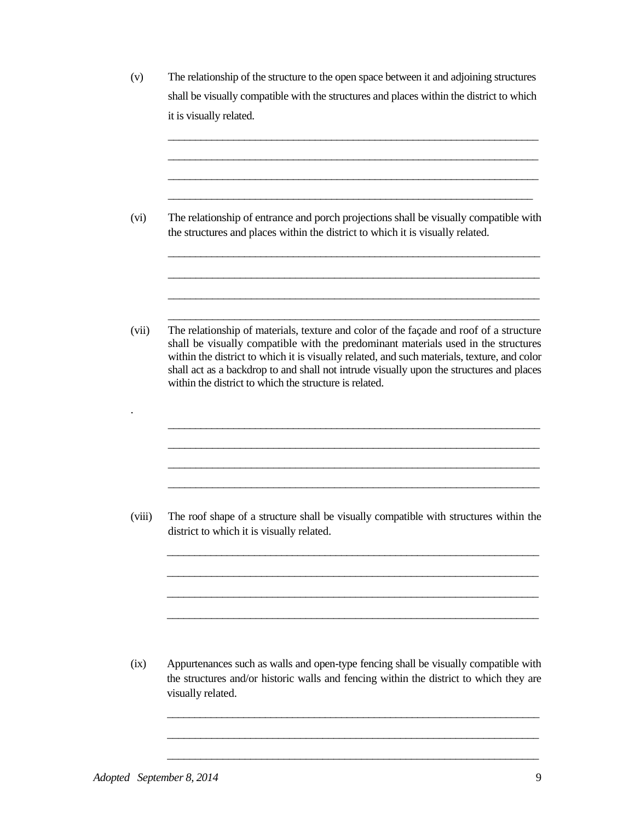(v) The relationship of the structure to the open space between it and adjoining structures shall be visually compatible with the structures and places within the district to which it is visually related.

\_\_\_\_\_\_\_\_\_\_\_\_\_\_\_\_\_\_\_\_\_\_\_\_\_\_\_\_\_\_\_\_\_\_\_\_\_\_\_\_\_\_\_\_\_\_\_\_\_\_\_\_\_\_\_\_\_\_\_\_\_\_\_\_\_\_\_\_ \_\_\_\_\_\_\_\_\_\_\_\_\_\_\_\_\_\_\_\_\_\_\_\_\_\_\_\_\_\_\_\_\_\_\_\_\_\_\_\_\_\_\_\_\_\_\_\_\_\_\_\_\_\_\_\_\_\_\_\_\_\_\_\_\_\_\_\_ \_\_\_\_\_\_\_\_\_\_\_\_\_\_\_\_\_\_\_\_\_\_\_\_\_\_\_\_\_\_\_\_\_\_\_\_\_\_\_\_\_\_\_\_\_\_\_\_\_\_\_\_\_\_\_\_\_\_\_\_\_\_\_\_\_\_\_\_ \_\_\_\_\_\_\_\_\_\_\_\_\_\_\_\_\_\_\_\_\_\_\_\_\_\_\_\_\_\_\_\_\_\_\_\_\_\_\_\_\_\_\_\_\_\_\_\_\_\_\_\_\_\_\_\_\_\_\_\_\_\_\_\_\_\_\_

\_\_\_\_\_\_\_\_\_\_\_\_\_\_\_\_\_\_\_\_\_\_\_\_\_\_\_\_\_\_\_\_\_\_\_\_\_\_\_\_\_\_\_\_\_\_\_\_\_\_\_\_\_\_\_\_\_\_\_\_\_\_\_\_\_\_\_\_

\_\_\_\_\_\_\_\_\_\_\_\_\_\_\_\_\_\_\_\_\_\_\_\_\_\_\_\_\_\_\_\_\_\_\_\_\_\_\_\_\_\_\_\_\_\_\_\_\_\_\_\_\_\_\_\_\_\_\_\_\_\_\_\_\_\_\_

\_\_\_\_\_\_\_\_\_\_\_\_\_\_\_\_\_\_\_\_\_\_\_\_\_\_\_\_\_\_\_\_\_\_\_\_\_\_\_\_\_\_\_\_\_\_\_\_\_\_\_\_\_\_\_\_\_\_\_\_\_\_\_\_\_\_\_

\_\_\_\_\_\_\_\_\_\_\_\_\_\_\_\_\_\_\_\_\_\_\_\_\_\_\_\_\_\_\_\_\_\_\_\_\_\_\_\_\_\_\_\_\_\_\_\_\_\_\_\_\_\_\_\_\_\_\_\_\_\_\_\_\_\_\_

\_\_\_\_\_\_\_\_\_\_\_\_\_\_\_\_\_\_\_\_\_\_\_\_\_\_\_\_\_\_\_\_\_\_\_\_\_\_\_\_\_\_\_\_\_\_\_\_\_\_\_\_\_\_\_\_\_\_\_\_\_\_\_\_\_\_\_\_ \_\_\_\_\_\_\_\_\_\_\_\_\_\_\_\_\_\_\_\_\_\_\_\_\_\_\_\_\_\_\_\_\_\_\_\_\_\_\_\_\_\_\_\_\_\_\_\_\_\_\_\_\_\_\_\_\_\_\_\_\_\_\_\_\_\_\_ \_\_\_\_\_\_\_\_\_\_\_\_\_\_\_\_\_\_\_\_\_\_\_\_\_\_\_\_\_\_\_\_\_\_\_\_\_\_\_\_\_\_\_\_\_\_\_\_\_\_\_\_\_\_\_\_\_\_\_\_\_\_\_\_\_\_\_ \_\_\_\_\_\_\_\_\_\_\_\_\_\_\_\_\_\_\_\_\_\_\_\_\_\_\_\_\_\_\_\_\_\_\_\_\_\_\_\_\_\_\_\_\_\_\_\_\_\_\_\_\_\_\_\_\_\_\_\_\_\_\_\_\_\_\_

(vi) The relationship of entrance and porch projections shall be visually compatible with the structures and places within the district to which it is visually related.

(vii) The relationship of materials, texture and color of the façade and roof of a structure shall be visually compatible with the predominant materials used in the structures within the district to which it is visually related, and such materials, texture, and color shall act as a backdrop to and shall not intrude visually upon the structures and places within the district to which the structure is related.

(viii) The roof shape of a structure shall be visually compatible with structures within the district to which it is visually related.

\_\_\_\_\_\_\_\_\_\_\_\_\_\_\_\_\_\_\_\_\_\_\_\_\_\_\_\_\_\_\_\_\_\_\_\_\_\_\_\_\_\_\_\_\_\_\_\_\_\_\_\_\_\_\_\_\_\_\_\_\_\_\_\_\_\_\_\_

\_\_\_\_\_\_\_\_\_\_\_\_\_\_\_\_\_\_\_\_\_\_\_\_\_\_\_\_\_\_\_\_\_\_\_\_\_\_\_\_\_\_\_\_\_\_\_\_\_\_\_\_\_\_\_\_\_\_\_\_\_\_\_\_\_\_\_

\_\_\_\_\_\_\_\_\_\_\_\_\_\_\_\_\_\_\_\_\_\_\_\_\_\_\_\_\_\_\_\_\_\_\_\_\_\_\_\_\_\_\_\_\_\_\_\_\_\_\_\_\_\_\_\_\_\_\_\_\_\_\_\_\_\_\_

\_\_\_\_\_\_\_\_\_\_\_\_\_\_\_\_\_\_\_\_\_\_\_\_\_\_\_\_\_\_\_\_\_\_\_\_\_\_\_\_\_\_\_\_\_\_\_\_\_\_\_\_\_\_\_\_\_\_\_\_\_\_\_\_\_\_\_

\_\_\_\_\_\_\_\_\_\_\_\_\_\_\_\_\_\_\_\_\_\_\_\_\_\_\_\_\_\_\_\_\_\_\_\_\_\_\_\_\_\_\_\_\_\_\_\_\_\_\_\_\_\_\_\_\_\_\_\_\_\_\_\_\_\_\_\_

\_\_\_\_\_\_\_\_\_\_\_\_\_\_\_\_\_\_\_\_\_\_\_\_\_\_\_\_\_\_\_\_\_\_\_\_\_\_\_\_\_\_\_\_\_\_\_\_\_\_\_\_\_\_\_\_\_\_\_\_\_\_\_\_\_\_\_

\_\_\_\_\_\_\_\_\_\_\_\_\_\_\_\_\_\_\_\_\_\_\_\_\_\_\_\_\_\_\_\_\_\_\_\_\_\_\_\_\_\_\_\_\_\_\_\_\_\_\_\_\_\_\_\_\_\_\_\_\_\_\_\_\_\_\_

(ix) Appurtenances such as walls and open-type fencing shall be visually compatible with the structures and/or historic walls and fencing within the district to which they are visually related.

.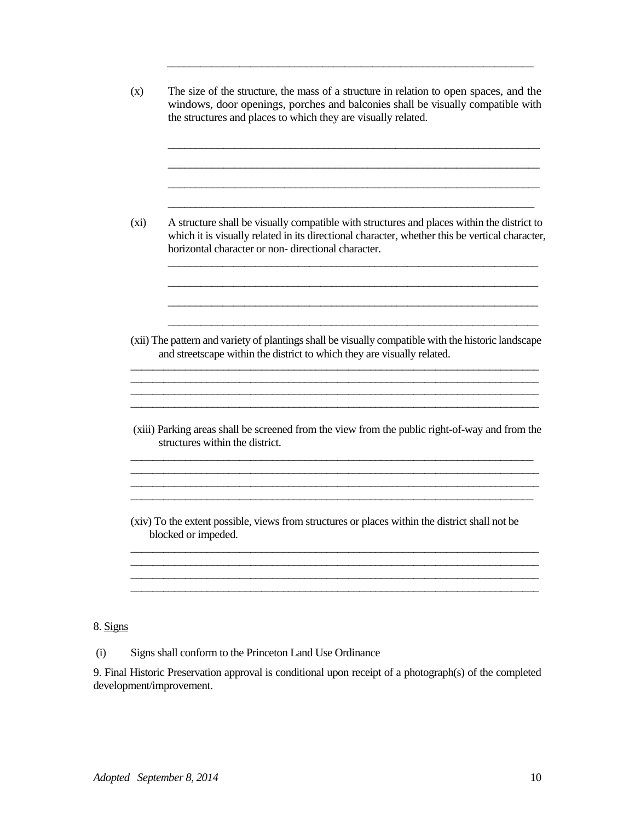(x) The size of the structure, the mass of a structure in relation to open spaces, and the windows, door openings, porches and balconies shall be visually compatible with the structures and places to which they are visually related.  $\_$  , and the set of the set of the set of the set of the set of the set of the set of the set of the set of the set of the set of the set of the set of the set of the set of the set of the set of the set of the set of th \_\_\_\_\_\_\_\_\_\_\_\_\_\_\_\_\_\_\_\_\_\_\_\_\_\_\_\_\_\_\_\_\_\_\_\_\_\_\_\_\_\_\_\_\_\_\_\_\_\_\_\_\_\_\_\_\_\_\_\_\_\_\_\_\_\_\_ \_\_\_\_\_\_\_\_\_\_\_\_\_\_\_\_\_\_\_\_\_\_\_\_\_\_\_\_\_\_\_\_\_\_\_\_\_\_\_\_\_\_\_\_\_\_\_\_\_\_\_\_\_\_\_\_\_\_\_\_\_\_\_\_\_\_\_ \_\_\_\_\_\_\_\_\_\_\_\_\_\_\_\_\_\_\_\_\_\_\_\_\_\_\_\_\_\_\_\_\_\_\_\_\_\_\_\_\_\_\_\_\_\_\_\_\_\_\_\_\_\_\_\_\_\_\_\_\_\_\_\_\_\_ (xi) A structure shall be visually compatible with structures and places within the district to which it is visually related in its directional character, whether this be vertical character, horizontal character or non- directional character. \_\_\_\_\_\_\_\_\_\_\_\_\_\_\_\_\_\_\_\_\_\_\_\_\_\_\_\_\_\_\_\_\_\_\_\_\_\_\_\_\_\_\_\_\_\_\_\_\_\_\_\_\_\_\_\_\_\_\_\_\_\_\_\_\_\_\_\_ \_\_\_\_\_\_\_\_\_\_\_\_\_\_\_\_\_\_\_\_\_\_\_\_\_\_\_\_\_\_\_\_\_\_\_\_\_\_\_\_\_\_\_\_\_\_\_\_\_\_\_\_\_\_\_\_\_\_\_\_\_\_\_\_\_\_\_\_ \_\_\_\_\_\_\_\_\_\_\_\_\_\_\_\_\_\_\_\_\_\_\_\_\_\_\_\_\_\_\_\_\_\_\_\_\_\_\_\_\_\_\_\_\_\_\_\_\_\_\_\_\_\_\_\_\_\_\_\_\_\_\_\_\_\_\_\_ \_\_\_\_\_\_\_\_\_\_\_\_\_\_\_\_\_\_\_\_\_\_\_\_\_\_\_\_\_\_\_\_\_\_\_\_\_\_\_\_\_\_\_\_\_\_\_\_\_\_\_\_\_\_\_\_\_\_\_\_\_\_\_\_\_\_\_\_ (xii) The pattern and variety of plantings shall be visually compatible with the historic landscape and streetscape within the district to which they are visually related. \_\_\_\_\_\_\_\_\_\_\_\_\_\_\_\_\_\_\_\_\_\_\_\_\_\_\_\_\_\_\_\_\_\_\_\_\_\_\_\_\_\_\_\_\_\_\_\_\_\_\_\_\_\_\_\_\_\_\_\_\_\_\_\_\_\_\_\_\_\_\_\_\_\_\_  $\ldots$  . The contribution of the contribution of the contribution of the contribution of the contribution of the contribution of the contribution of the contribution of the contribution of the contribution of the contribut (xiii) Parking areas shall be screened from the view from the public right-of-way and from the structures within the district. \_\_\_\_\_\_\_\_\_\_\_\_\_\_\_\_\_\_\_\_\_\_\_\_\_\_\_\_\_\_\_\_\_\_\_\_\_\_\_\_\_\_\_\_\_\_\_\_\_\_\_\_\_\_\_\_\_\_\_\_\_\_\_\_\_\_\_\_\_\_\_\_\_\_  $\ldots$  . The contribution of the contribution of the contribution of the contribution of the contribution of the contribution of the contribution of the contribution of the contribution of the contribution of the contribut \_\_\_\_\_\_\_\_\_\_\_\_\_\_\_\_\_\_\_\_\_\_\_\_\_\_\_\_\_\_\_\_\_\_\_\_\_\_\_\_\_\_\_\_\_\_\_\_\_\_\_\_\_\_\_\_\_\_\_\_\_\_\_\_\_\_\_\_\_\_\_\_\_\_ (xiv) To the extent possible, views from structures or places within the district shall not be blocked or impeded. \_\_\_\_\_\_\_\_\_\_\_\_\_\_\_\_\_\_\_\_\_\_\_\_\_\_\_\_\_\_\_\_\_\_\_\_\_\_\_\_\_\_\_\_\_\_\_\_\_\_\_\_\_\_\_\_\_\_\_\_\_\_\_\_\_\_\_\_\_\_\_\_\_\_\_ \_\_\_\_\_\_\_\_\_\_\_\_\_\_\_\_\_\_\_\_\_\_\_\_\_\_\_\_\_\_\_\_\_\_\_\_\_\_\_\_\_\_\_\_\_\_\_\_\_\_\_\_\_\_\_\_\_\_\_\_\_\_\_\_\_\_\_\_\_\_\_\_\_\_\_ \_\_\_\_\_\_\_\_\_\_\_\_\_\_\_\_\_\_\_\_\_\_\_\_\_\_\_\_\_\_\_\_\_\_\_\_\_\_\_\_\_\_\_\_\_\_\_\_\_\_\_\_\_\_\_\_\_\_\_\_\_\_\_\_\_\_\_\_\_\_\_\_\_\_\_

\_\_\_\_\_\_\_\_\_\_\_\_\_\_\_\_\_\_\_\_\_\_\_\_\_\_\_\_\_\_\_\_\_\_\_\_\_\_\_\_\_\_\_\_\_\_\_\_\_\_\_\_\_\_\_\_\_\_\_\_\_\_\_\_\_\_

8. Signs

(i) Signs shall conform to the Princeton Land Use Ordinance

9. Final Historic Preservation approval is conditional upon receipt of a photograph(s) of the completed development/improvement.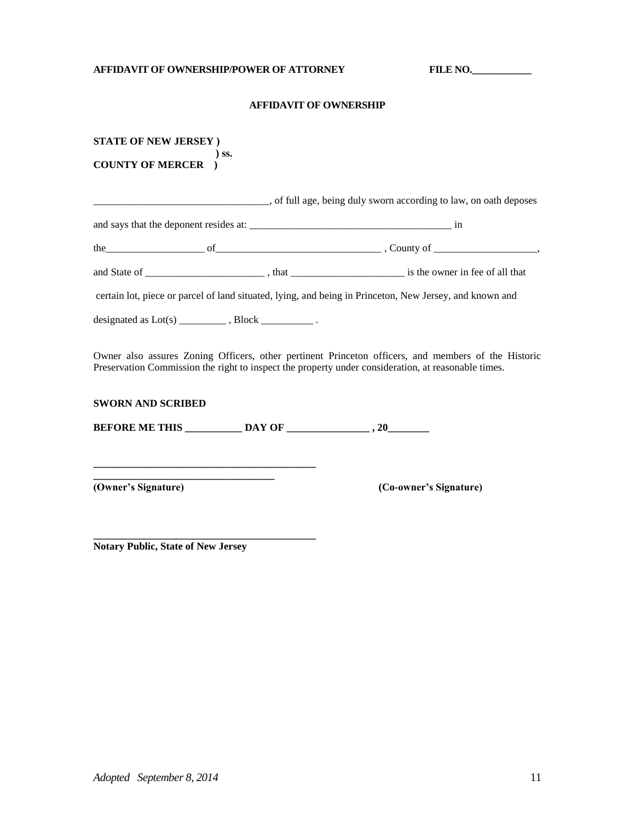## **AFFIDAVIT OF OWNERSHIP/POWER OF ATTORNEY FILE NO.\_\_\_\_\_\_\_\_\_\_\_\_**

### **AFFIDAVIT OF OWNERSHIP**

| <b>STATE OF NEW JERSEY</b> ) |                                                                                 |                                                                                                                                                                                                            |  |
|------------------------------|---------------------------------------------------------------------------------|------------------------------------------------------------------------------------------------------------------------------------------------------------------------------------------------------------|--|
| <b>COUNTY OF MERCER</b>      | ) SS.                                                                           |                                                                                                                                                                                                            |  |
|                              |                                                                                 |                                                                                                                                                                                                            |  |
|                              |                                                                                 |                                                                                                                                                                                                            |  |
|                              |                                                                                 |                                                                                                                                                                                                            |  |
|                              |                                                                                 |                                                                                                                                                                                                            |  |
|                              |                                                                                 | certain lot, piece or parcel of land situated, lying, and being in Princeton, New Jersey, and known and                                                                                                    |  |
|                              |                                                                                 |                                                                                                                                                                                                            |  |
|                              |                                                                                 | Owner also assures Zoning Officers, other pertinent Princeton officers, and members of the Historic<br>Preservation Commission the right to inspect the property under consideration, at reasonable times. |  |
| <b>SWORN AND SCRIBED</b>     |                                                                                 |                                                                                                                                                                                                            |  |
|                              |                                                                                 |                                                                                                                                                                                                            |  |
|                              |                                                                                 |                                                                                                                                                                                                            |  |
| (Owner's Signature)          | the contract of the contract of the contract of the contract of the contract of | (Co-owner's Signature)                                                                                                                                                                                     |  |
|                              |                                                                                 |                                                                                                                                                                                                            |  |

**Notary Public, State of New Jersey**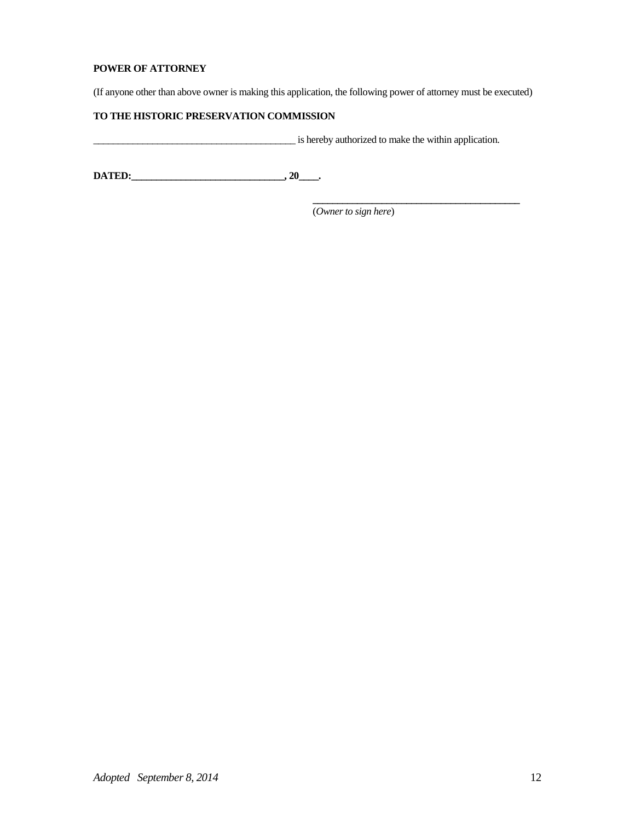## **POWER OF ATTORNEY**

(If anyone other than above owner is making this application, the following power of attorney must be executed)

## **TO THE HISTORIC PRESERVATION COMMISSION**

\_\_\_\_\_\_\_\_\_\_\_\_\_\_\_\_\_\_\_\_\_\_\_\_\_\_\_\_\_\_\_\_\_\_\_\_\_\_\_\_\_ is hereby authorized to make the within application.

 **\_\_\_\_\_\_\_\_\_\_\_\_\_\_\_\_\_\_\_\_\_\_\_\_\_\_\_\_\_\_\_\_\_\_\_\_\_\_\_\_\_\_**

**DATED:\_\_\_\_\_\_\_\_\_\_\_\_\_\_\_\_\_\_\_\_\_\_\_\_\_\_\_\_\_\_\_, 20\_\_\_\_.** 

(*Owner to sign here*)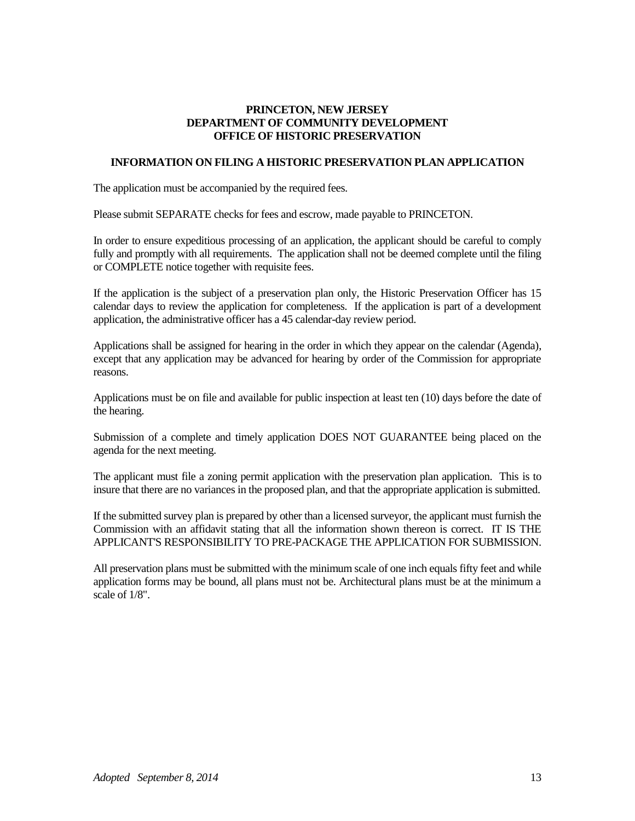## **PRINCETON, NEW JERSEY DEPARTMENT OF COMMUNITY DEVELOPMENT OFFICE OF HISTORIC PRESERVATION**

## **INFORMATION ON FILING A HISTORIC PRESERVATION PLAN APPLICATION**

The application must be accompanied by the required fees.

Please submit SEPARATE checks for fees and escrow, made payable to PRINCETON.

In order to ensure expeditious processing of an application, the applicant should be careful to comply fully and promptly with all requirements. The application shall not be deemed complete until the filing or COMPLETE notice together with requisite fees.

If the application is the subject of a preservation plan only, the Historic Preservation Officer has 15 calendar days to review the application for completeness. If the application is part of a development application, the administrative officer has a 45 calendar-day review period.

Applications shall be assigned for hearing in the order in which they appear on the calendar (Agenda), except that any application may be advanced for hearing by order of the Commission for appropriate reasons.

Applications must be on file and available for public inspection at least ten (10) days before the date of the hearing.

Submission of a complete and timely application DOES NOT GUARANTEE being placed on the agenda for the next meeting.

The applicant must file a zoning permit application with the preservation plan application. This is to insure that there are no variances in the proposed plan, and that the appropriate application is submitted.

If the submitted survey plan is prepared by other than a licensed surveyor, the applicant must furnish the Commission with an affidavit stating that all the information shown thereon is correct. IT IS THE APPLICANT'S RESPONSIBILITY TO PRE-PACKAGE THE APPLICATION FOR SUBMISSION.

All preservation plans must be submitted with the minimum scale of one inch equals fifty feet and while application forms may be bound, all plans must not be. Architectural plans must be at the minimum a scale of 1/8".